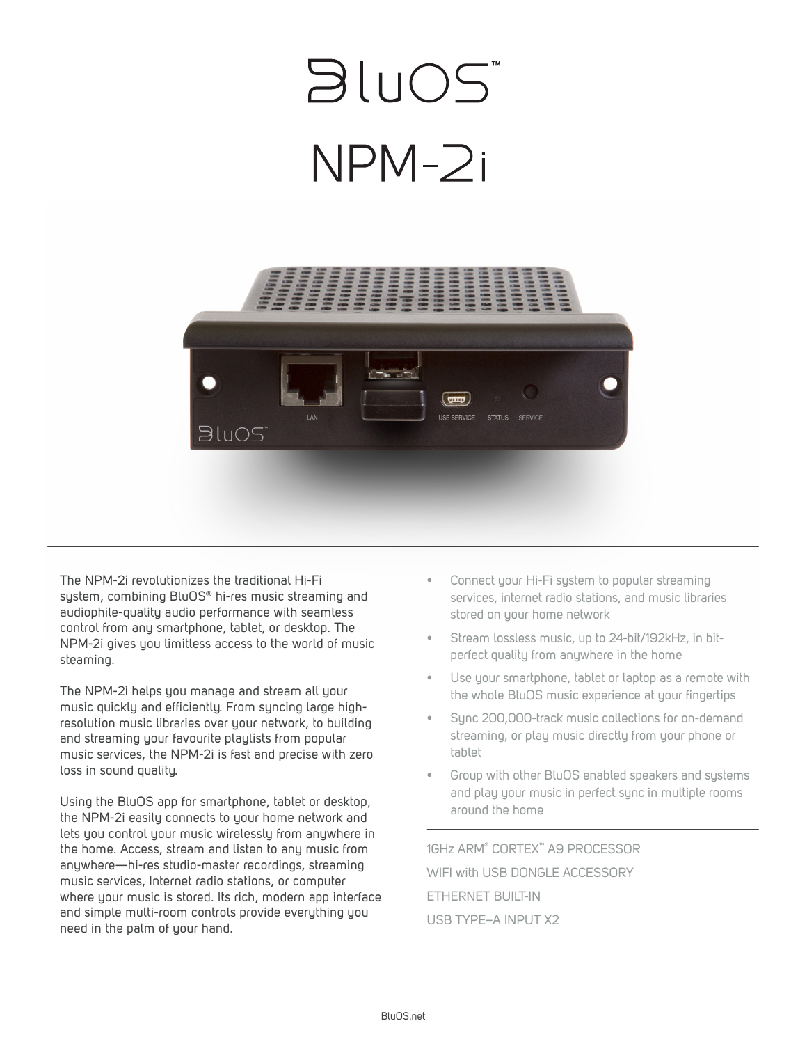## **BLUOS**  $NPM-2i$



The NPM-2i revolutionizes the traditional Hi-Fi system, combining BluOS® hi-res music streaming and audiophile-quality audio performance with seamless control from any smartphone, tablet, or desktop. The NPM-2i gives you limitless access to the world of music steaming.

The NPM-2i helps you manage and stream all your music quickly and efficiently. From syncing large highresolution music libraries over your network, to building and streaming your favourite playlists from popular music services, the NPM-2i is fast and precise with zero loss in sound quality.

Using the BluOS app for smartphone, tablet or desktop, the NPM-2i easily connects to your home network and lets you control your music wirelessly from anywhere in the home. Access, stream and listen to any music from anywhere—hi-res studio-master recordings, streaming music services, Internet radio stations, or computer where your music is stored. Its rich, modern app interface and simple multi-room controls provide everything you need in the palm of your hand.

- Connect your Hi-Fi system to popular streaming services, internet radio stations, and music libraries stored on your home network
- Stream lossless music, up to 24-bit/192kHz, in bitperfect quality from anywhere in the home
- Use your smartphone, tablet or laptop as a remote with the whole BluOS music experience at your fingertips
- Sync 200,000-track music collections for on-demand streaming, or play music directly from your phone or tablet
- Group with other BluOS enabled speakers and systems and play your music in perfect sync in multiple rooms around the home

1GHz ARM® CORTEX™ A9 PROCESSOR WIFI with USB DONGLE ACCESSORY ETHERNET BUILT-IN USB TYPE–A INPUT X2